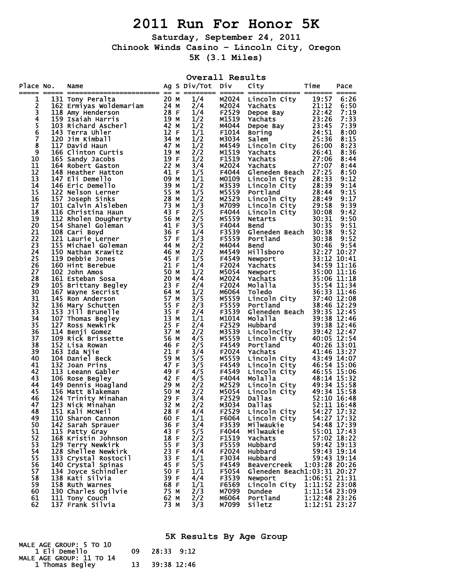## **2011 Run For Honor 5K**

**Saturday, September 24, 2011 Chinook Winds Casino – Lincoln City, Oregon 5K (3.1 Miles)** 

|                         |                                                                                                                                                                                                                                                              |              | Overall Results  |                                                                               |                                                                                                                                                                                                                                                                          |                                |                            |
|-------------------------|--------------------------------------------------------------------------------------------------------------------------------------------------------------------------------------------------------------------------------------------------------------|--------------|------------------|-------------------------------------------------------------------------------|--------------------------------------------------------------------------------------------------------------------------------------------------------------------------------------------------------------------------------------------------------------------------|--------------------------------|----------------------------|
| Place No.               | Name<br>o. Name 40<br>131 Tony Peralta<br>162 Emilyas Woldemariam<br>163 Saiah Harris 24<br>162 Saiah Harris 24<br>163 Saiah Harris 24<br>163 Saiah Harris 164<br>164 Samp Members 164<br>172 Diavid Haun<br>165 Sandy Jacobs<br>164 Robert Gaston<br>193 Re |              | Ag S Div/Tot Div |                                                                               | City                                                                                                                                                                                                                                                                     | Time                           | Pace                       |
| 1                       |                                                                                                                                                                                                                                                              |              | 1/4              | M2024                                                                         |                                                                                                                                                                                                                                                                          |                                | 6:26                       |
|                         |                                                                                                                                                                                                                                                              |              | 2/4              | M2024                                                                         |                                                                                                                                                                                                                                                                          |                                | 6:50                       |
| 23456                   |                                                                                                                                                                                                                                                              |              | 1/4              | F2529                                                                         |                                                                                                                                                                                                                                                                          |                                | 7:19                       |
|                         |                                                                                                                                                                                                                                                              |              | 1/2<br>1/2       | M1519<br>M4044                                                                |                                                                                                                                                                                                                                                                          |                                | 7:33<br>7:39               |
|                         |                                                                                                                                                                                                                                                              |              | 1/1              | F1014                                                                         |                                                                                                                                                                                                                                                                          |                                | 8:00                       |
| Ž                       |                                                                                                                                                                                                                                                              |              | 1/2              | M3034                                                                         |                                                                                                                                                                                                                                                                          |                                | 8:15                       |
| $\overline{\mathbf{8}}$ |                                                                                                                                                                                                                                                              |              | 1/2              | M4549                                                                         |                                                                                                                                                                                                                                                                          |                                | 8:23                       |
| 9                       |                                                                                                                                                                                                                                                              |              | 2/2              | M1519                                                                         |                                                                                                                                                                                                                                                                          |                                | 8:36                       |
| 10                      |                                                                                                                                                                                                                                                              |              | 1/2              | F1519                                                                         |                                                                                                                                                                                                                                                                          |                                | 8:44                       |
| 11<br>12                |                                                                                                                                                                                                                                                              |              | 3/4<br>1/5       | M2024<br>F4044                                                                | Gleneden Beach 27:25                                                                                                                                                                                                                                                     |                                | 8:44<br>8:50               |
| 13                      |                                                                                                                                                                                                                                                              |              | 1/1              | M0109                                                                         |                                                                                                                                                                                                                                                                          |                                | 9:12                       |
| 14                      |                                                                                                                                                                                                                                                              |              | 1/2              | M3539                                                                         | Lincoln City 28:33<br>Lincoln City 28:39                                                                                                                                                                                                                                 |                                | 9:14                       |
| 15                      |                                                                                                                                                                                                                                                              |              | 1/5              | M5559                                                                         |                                                                                                                                                                                                                                                                          |                                | 9:15                       |
| 16                      |                                                                                                                                                                                                                                                              |              | 1/2              | M2529                                                                         |                                                                                                                                                                                                                                                                          |                                | 9:17                       |
| 17                      |                                                                                                                                                                                                                                                              |              | 1/3              | M7099                                                                         |                                                                                                                                                                                                                                                                          |                                | 9:39                       |
| 18<br>19                |                                                                                                                                                                                                                                                              |              | 2/5<br>2/5       | F4044<br>M5559                                                                |                                                                                                                                                                                                                                                                          |                                | 9:42<br>9:50               |
| 20                      |                                                                                                                                                                                                                                                              |              | 3/5              | F4044                                                                         |                                                                                                                                                                                                                                                                          |                                | 9:51                       |
| 21                      |                                                                                                                                                                                                                                                              |              | 1/4              | F3539                                                                         | 28:39<br>rortland 28:44<br>Lincoln City 28:49<br>Lincoln City 29:58<br>Lincoln City 30:08<br>Netarts 30:31<br>Bend 30:31<br>Gleneden Press 20:35<br>Gleneden Beach 30:38                                                                                                 |                                | 9:52                       |
| 22                      |                                                                                                                                                                                                                                                              |              | 1/3              | F5559                                                                         |                                                                                                                                                                                                                                                                          |                                |                            |
| 23                      |                                                                                                                                                                                                                                                              |              | 2/2              | M4044                                                                         |                                                                                                                                                                                                                                                                          |                                |                            |
| 24                      |                                                                                                                                                                                                                                                              |              | 2/2              | M4549                                                                         |                                                                                                                                                                                                                                                                          |                                |                            |
| 25<br>26                |                                                                                                                                                                                                                                                              |              | 1/5<br>1/4       | F4549<br>F2024                                                                |                                                                                                                                                                                                                                                                          |                                |                            |
| 27                      |                                                                                                                                                                                                                                                              |              | 1/2              | M5054                                                                         |                                                                                                                                                                                                                                                                          |                                |                            |
| 28                      |                                                                                                                                                                                                                                                              |              | 4/4              | M2024                                                                         |                                                                                                                                                                                                                                                                          |                                |                            |
| 29                      |                                                                                                                                                                                                                                                              |              | 2/4              | F2024                                                                         | Figure Beach<br>Bend<br>Bend<br>Bottland<br>30:38 9:52<br>Rewport<br>30:38 9:52<br>27 10:27<br>Newport<br>33:12 10:41<br>Yachats<br>34:59 11:16<br>Newport<br>35:00 11:16<br>Yachats<br>35:00 11:16<br>Yachats<br>35:00 11:18<br>Molalla<br>35:54 11:34<br>Toledo<br>Lin |                                |                            |
| 30                      |                                                                                                                                                                                                                                                              |              | 1/2              | м6064                                                                         |                                                                                                                                                                                                                                                                          |                                |                            |
| 31                      |                                                                                                                                                                                                                                                              |              | 3/5              | M5559                                                                         |                                                                                                                                                                                                                                                                          |                                |                            |
| 32<br>33                |                                                                                                                                                                                                                                                              |              | 2/3<br>2/4       | F5559<br>F3539                                                                | Gleneden Beach 39:35 12:45                                                                                                                                                                                                                                               | 38:46 12:29                    |                            |
| 34                      |                                                                                                                                                                                                                                                              |              | 1/1              | M1014                                                                         |                                                                                                                                                                                                                                                                          | 39:38 12:46                    |                            |
| 35                      |                                                                                                                                                                                                                                                              |              | 2/4              | F2529                                                                         | <b>Molalla</b><br>Hubbard<br>Lincolncity<br>Lincoln City<br>Portland<br>Yachats                                                                                                                                                                                          | 39:38 12:46                    |                            |
| 36                      |                                                                                                                                                                                                                                                              |              | 2/2              | M3539                                                                         |                                                                                                                                                                                                                                                                          | 39:42 12:47                    |                            |
| 37                      |                                                                                                                                                                                                                                                              |              | 4/5              | M5559                                                                         |                                                                                                                                                                                                                                                                          | 40:05 12:54                    |                            |
| 38                      |                                                                                                                                                                                                                                                              |              | 2/5              | F4549                                                                         |                                                                                                                                                                                                                                                                          | 40:26 13:01                    |                            |
| 39<br>40                |                                                                                                                                                                                                                                                              |              | 3/4<br>5/5       |                                                                               | Yachats                                                                                                                                                                                                                                                                  | 41:46 13:27<br>43:49 14:07     |                            |
| 41                      |                                                                                                                                                                                                                                                              |              | 3/5              |                                                                               |                                                                                                                                                                                                                                                                          | 46:54 15:06                    |                            |
| 42                      |                                                                                                                                                                                                                                                              |              | 4/5              |                                                                               | Lincoln City<br>Lincoln City<br>Lincoln City<br>Molalla                                                                                                                                                                                                                  | 46:55 15:06                    |                            |
| 43                      |                                                                                                                                                                                                                                                              |              | 4/5              |                                                                               |                                                                                                                                                                                                                                                                          | 48:14 15:32                    |                            |
| 44                      |                                                                                                                                                                                                                                                              |              | 2/2              | <b>4349454945454945444444444444454844444548484445484844548554944548555494</b> | 11 15:58<br>Lincoln City 49:34 15:58<br>Lincoln City 49:34 15:58<br>Dallas 52:10 16:48                                                                                                                                                                                   |                                |                            |
| 45                      |                                                                                                                                                                                                                                                              |              | 2/2              |                                                                               |                                                                                                                                                                                                                                                                          |                                |                            |
| 46<br>47                | 123 Nick Minahan                                                                                                                                                                                                                                             | 32 M         | 3/4<br>2/2       | M3034                                                                         | Dallas                                                                                                                                                                                                                                                                   |                                | 52:11 16:48                |
| 48                      | 151 Kali McNeil                                                                                                                                                                                                                                              | 28 F         | 4/4              | F2529                                                                         | Lincoln City                                                                                                                                                                                                                                                             |                                | 54:27 17:32                |
| 49                      | 110 Sharon Cannon                                                                                                                                                                                                                                            | 60 F         | 1/1              | F6064                                                                         | Lincoln City                                                                                                                                                                                                                                                             |                                | 54:27 17:32                |
| 50                      | 142 Sarah Sprauer                                                                                                                                                                                                                                            | 36 F         | 3/4              | F3539                                                                         | Milwaukie                                                                                                                                                                                                                                                                |                                | 54:48 17:39                |
| 51                      | 115 Patty Gray                                                                                                                                                                                                                                               | 43 F         | 5/5              | F4044                                                                         | Milwaukie                                                                                                                                                                                                                                                                |                                | 55:01 17:43                |
| 52                      | 168 Kristin Johnson                                                                                                                                                                                                                                          | 18 F         | 2/2              | F1519                                                                         | Yachats                                                                                                                                                                                                                                                                  |                                | 57:02 18:22                |
| 53<br>54                | 129 Terry Newkirk<br>128 Shellee Newkirk                                                                                                                                                                                                                     | 55 F<br>23 F | 3/3<br>4/4       | F5559<br>F2024                                                                | Hubbard<br>Hubbard                                                                                                                                                                                                                                                       |                                | 59:42 19:13<br>59:43 19:14 |
| 55                      | 133 Crystal Rostocil                                                                                                                                                                                                                                         | 33 F         | 1/1              | F3034                                                                         | Hubbard                                                                                                                                                                                                                                                                  |                                | 59:43 19:14                |
| 56                      | 140 Crystal Spinas                                                                                                                                                                                                                                           | 45 F         | 5/5              | F4549                                                                         | <b>Beavercreek</b>                                                                                                                                                                                                                                                       | 1:03:28 20:26                  |                            |
| 57                      | 134 Joyce Schindler                                                                                                                                                                                                                                          | 50 F         | 1/1              | F5054                                                                         | Gleneden Beach1:03:31 20:27                                                                                                                                                                                                                                              |                                |                            |
| 58                      | 138 Kati Silvia                                                                                                                                                                                                                                              | 39 F         | 4/4              | F3539                                                                         | Newport                                                                                                                                                                                                                                                                  | 1:06:51 21:31                  |                            |
| 59                      | 158 Ruth Warnes                                                                                                                                                                                                                                              | 68 F         | 1/1              | F6569                                                                         | Lincoln City                                                                                                                                                                                                                                                             | 1:11:52 23:08                  |                            |
| 60<br>61                | 130 Charles Ogilvie<br>111 Tony Couch                                                                                                                                                                                                                        | 75 M         | 2/3<br>2/2       | M7099                                                                         | Dundee<br>Portland                                                                                                                                                                                                                                                       | 1:11:54 23:09<br>1:12:48 23:26 |                            |
| 62                      | 137 Frank Silvia                                                                                                                                                                                                                                             | 62 M<br>73 M | 3/3              | M6064<br>M7099                                                                | Siletz                                                                                                                                                                                                                                                                   | 1:12:51 23:27                  |                            |

|                                                    |    | 5K Results By Age Group |
|----------------------------------------------------|----|-------------------------|
| <b>MALE AGE GROUP: 5 TO 10</b><br>1 Eli Demello    | 09 | 28:33 9:12              |
| <b>MALE AGE GROUP: 11 TO 14</b><br>1 Thomas Begley | 13 | 39:38 12:46             |